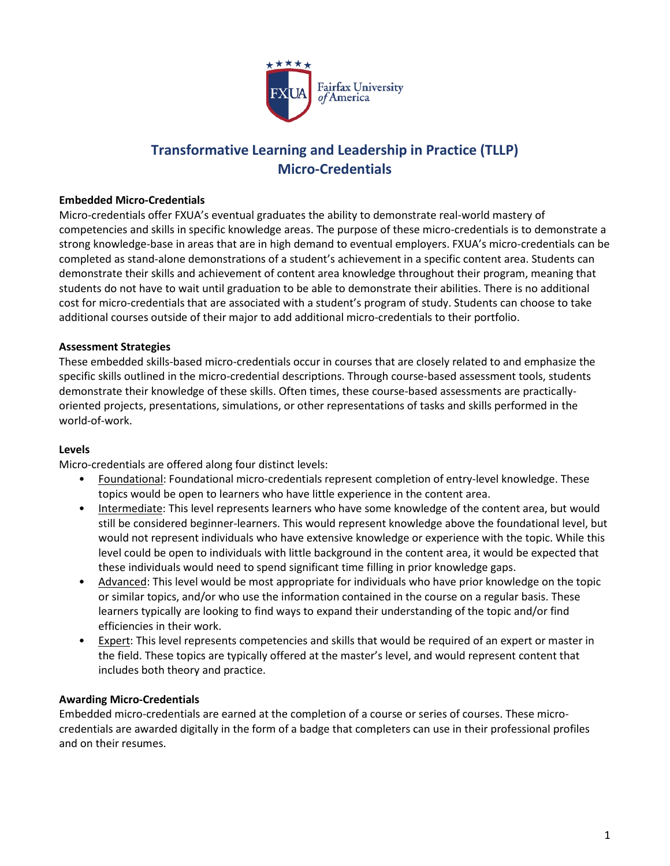

# **Transformative Learning and Leadership in Practice (TLLP) Micro-Credentials**

### **Embedded Micro-Credentials**

Micro-credentials offer FXUA's eventual graduates the ability to demonstrate real-world mastery of competencies and skills in specific knowledge areas. The purpose of these micro-credentials is to demonstrate a strong knowledge-base in areas that are in high demand to eventual employers. FXUA's micro-credentials can be completed as stand-alone demonstrations of a student's achievement in a specific content area. Students can demonstrate their skills and achievement of content area knowledge throughout their program, meaning that students do not have to wait until graduation to be able to demonstrate their abilities. There is no additional cost for micro-credentials that are associated with a student's program of study. Students can choose to take additional courses outside of their major to add additional micro-credentials to their portfolio.

### **Assessment Strategies**

These embedded skills-based micro-credentials occur in courses that are closely related to and emphasize the specific skills outlined in the micro-credential descriptions. Through course-based assessment tools, students demonstrate their knowledge of these skills. Often times, these course-based assessments are practicallyoriented projects, presentations, simulations, or other representations of tasks and skills performed in the world-of-work.

#### **Levels**

Micro-credentials are offered along four distinct levels:

- Foundational: Foundational micro-credentials represent completion of entry-level knowledge. These topics would be open to learners who have little experience in the content area.
- Intermediate: This level represents learners who have some knowledge of the content area, but would still be considered beginner-learners. This would represent knowledge above the foundational level, but would not represent individuals who have extensive knowledge or experience with the topic. While this level could be open to individuals with little background in the content area, it would be expected that these individuals would need to spend significant time filling in prior knowledge gaps.
- Advanced: This level would be most appropriate for individuals who have prior knowledge on the topic or similar topics, and/or who use the information contained in the course on a regular basis. These learners typically are looking to find ways to expand their understanding of the topic and/or find efficiencies in their work.
- **Expert:** This level represents competencies and skills that would be required of an expert or master in the field. These topics are typically offered at the master's level, and would represent content that includes both theory and practice.

#### **Awarding Micro-Credentials**

Embedded micro-credentials are earned at the completion of a course or series of courses. These microcredentials are awarded digitally in the form of a badge that completers can use in their professional profiles and on their resumes.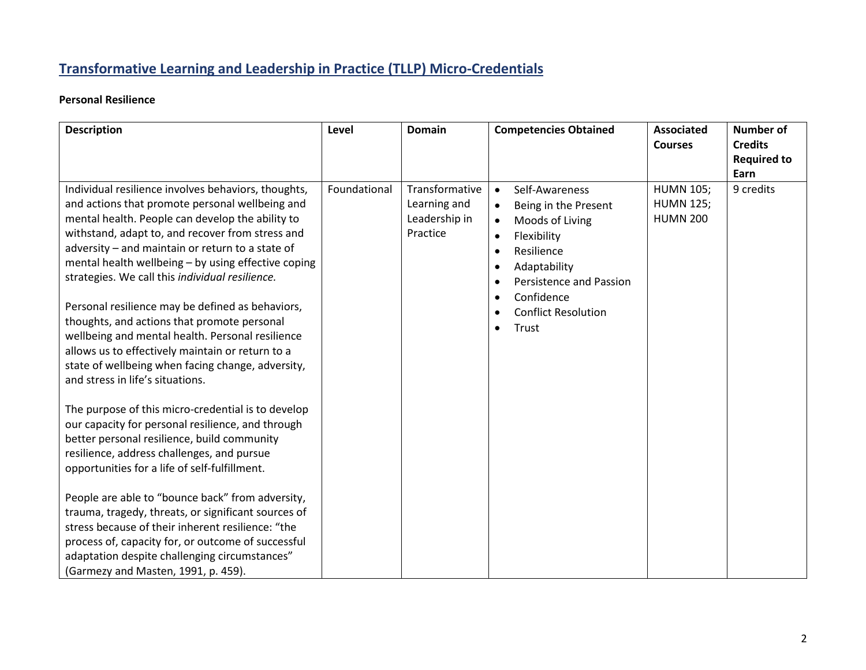# **Transformative Learning and Leadership in Practice (TLLP) Micro-Credentials**

# **Personal Resilience**

| <b>Description</b>                                                                                                                                                                                                                                                                                                                                                                                                                                                                                                                                                                                                                                                               | Level        | <b>Domain</b>                                               | <b>Competencies Obtained</b>                                                                                                                                                                                                                                                                   | <b>Associated</b><br><b>Courses</b>                     | <b>Number of</b><br><b>Credits</b> |
|----------------------------------------------------------------------------------------------------------------------------------------------------------------------------------------------------------------------------------------------------------------------------------------------------------------------------------------------------------------------------------------------------------------------------------------------------------------------------------------------------------------------------------------------------------------------------------------------------------------------------------------------------------------------------------|--------------|-------------------------------------------------------------|------------------------------------------------------------------------------------------------------------------------------------------------------------------------------------------------------------------------------------------------------------------------------------------------|---------------------------------------------------------|------------------------------------|
|                                                                                                                                                                                                                                                                                                                                                                                                                                                                                                                                                                                                                                                                                  |              |                                                             |                                                                                                                                                                                                                                                                                                |                                                         | <b>Required to</b>                 |
| Individual resilience involves behaviors, thoughts,<br>and actions that promote personal wellbeing and<br>mental health. People can develop the ability to<br>withstand, adapt to, and recover from stress and<br>adversity - and maintain or return to a state of<br>mental health wellbeing - by using effective coping<br>strategies. We call this individual resilience.<br>Personal resilience may be defined as behaviors,<br>thoughts, and actions that promote personal<br>wellbeing and mental health. Personal resilience<br>allows us to effectively maintain or return to a<br>state of wellbeing when facing change, adversity,<br>and stress in life's situations. | Foundational | Transformative<br>Learning and<br>Leadership in<br>Practice | Self-Awareness<br>Being in the Present<br>$\bullet$<br>Moods of Living<br>$\bullet$<br>Flexibility<br>$\bullet$<br>Resilience<br>$\bullet$<br>Adaptability<br>$\bullet$<br>Persistence and Passion<br>$\bullet$<br>Confidence<br>$\bullet$<br><b>Conflict Resolution</b><br>Trust<br>$\bullet$ | <b>HUMN 105;</b><br><b>HUMN 125;</b><br><b>HUMN 200</b> | Earn<br>9 credits                  |
| The purpose of this micro-credential is to develop<br>our capacity for personal resilience, and through<br>better personal resilience, build community<br>resilience, address challenges, and pursue<br>opportunities for a life of self-fulfillment.<br>People are able to "bounce back" from adversity,<br>trauma, tragedy, threats, or significant sources of<br>stress because of their inherent resilience: "the<br>process of, capacity for, or outcome of successful<br>adaptation despite challenging circumstances"<br>(Garmezy and Masten, 1991, p. 459).                                                                                                              |              |                                                             |                                                                                                                                                                                                                                                                                                |                                                         |                                    |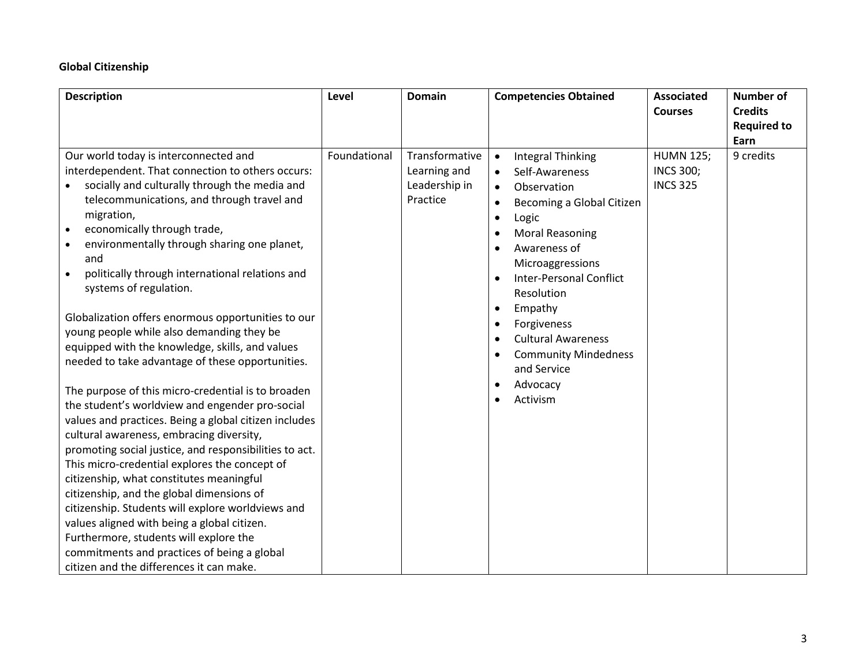## **Global Citizenship**

| <b>Description</b>                                                                                                                                                                                                                                                                                                                                                                                                                                                                                                                                                                                                                                                                                                                                                                                                                                                                                                                                                                                                                                                                                                                                                                                                                                          | Level        | <b>Domain</b>                                               | <b>Competencies Obtained</b>                                                                                                                                                                                                                                                                                                                                                                                                                                                                           | <b>Associated</b><br><b>Courses</b>                     | <b>Number of</b><br><b>Credits</b><br><b>Required to</b><br>Earn |
|-------------------------------------------------------------------------------------------------------------------------------------------------------------------------------------------------------------------------------------------------------------------------------------------------------------------------------------------------------------------------------------------------------------------------------------------------------------------------------------------------------------------------------------------------------------------------------------------------------------------------------------------------------------------------------------------------------------------------------------------------------------------------------------------------------------------------------------------------------------------------------------------------------------------------------------------------------------------------------------------------------------------------------------------------------------------------------------------------------------------------------------------------------------------------------------------------------------------------------------------------------------|--------------|-------------------------------------------------------------|--------------------------------------------------------------------------------------------------------------------------------------------------------------------------------------------------------------------------------------------------------------------------------------------------------------------------------------------------------------------------------------------------------------------------------------------------------------------------------------------------------|---------------------------------------------------------|------------------------------------------------------------------|
| Our world today is interconnected and<br>interdependent. That connection to others occurs:<br>socially and culturally through the media and<br>telecommunications, and through travel and<br>migration,<br>economically through trade,<br>$\bullet$<br>environmentally through sharing one planet,<br>and<br>politically through international relations and<br>systems of regulation.<br>Globalization offers enormous opportunities to our<br>young people while also demanding they be<br>equipped with the knowledge, skills, and values<br>needed to take advantage of these opportunities.<br>The purpose of this micro-credential is to broaden<br>the student's worldview and engender pro-social<br>values and practices. Being a global citizen includes<br>cultural awareness, embracing diversity,<br>promoting social justice, and responsibilities to act.<br>This micro-credential explores the concept of<br>citizenship, what constitutes meaningful<br>citizenship, and the global dimensions of<br>citizenship. Students will explore worldviews and<br>values aligned with being a global citizen.<br>Furthermore, students will explore the<br>commitments and practices of being a global<br>citizen and the differences it can make. | Foundational | Transformative<br>Learning and<br>Leadership in<br>Practice | <b>Integral Thinking</b><br>$\bullet$<br>Self-Awareness<br>Observation<br>$\bullet$<br>Becoming a Global Citizen<br>$\bullet$<br>$\bullet$<br>Logic<br><b>Moral Reasoning</b><br>$\bullet$<br>Awareness of<br>$\bullet$<br>Microaggressions<br><b>Inter-Personal Conflict</b><br>$\bullet$<br>Resolution<br>Empathy<br>$\bullet$<br>Forgiveness<br>$\bullet$<br><b>Cultural Awareness</b><br>$\bullet$<br><b>Community Mindedness</b><br>and Service<br>Advocacy<br>$\bullet$<br>Activism<br>$\bullet$ | <b>HUMN 125;</b><br><b>INCS 300;</b><br><b>INCS 325</b> | 9 credits                                                        |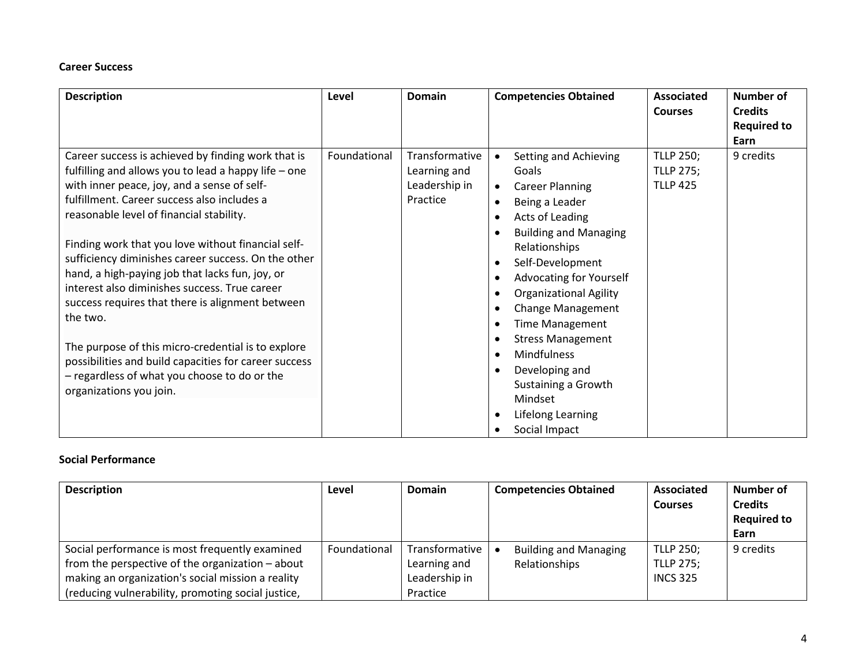### **Career Success**

| <b>Description</b>                                                                                                                                                                                                                                                                                                                                                                                                                                                                                                                                                                                                                                                                                                              | Level        | <b>Domain</b>                                               | <b>Competencies Obtained</b>                                                                                                                                                                                                                                                                                                                                                                                                            | <b>Associated</b><br><b>Courses</b>                     | <b>Number of</b><br><b>Credits</b><br><b>Required to</b><br>Earn |
|---------------------------------------------------------------------------------------------------------------------------------------------------------------------------------------------------------------------------------------------------------------------------------------------------------------------------------------------------------------------------------------------------------------------------------------------------------------------------------------------------------------------------------------------------------------------------------------------------------------------------------------------------------------------------------------------------------------------------------|--------------|-------------------------------------------------------------|-----------------------------------------------------------------------------------------------------------------------------------------------------------------------------------------------------------------------------------------------------------------------------------------------------------------------------------------------------------------------------------------------------------------------------------------|---------------------------------------------------------|------------------------------------------------------------------|
| Career success is achieved by finding work that is<br>fulfilling and allows you to lead a happy life - one<br>with inner peace, joy, and a sense of self-<br>fulfillment. Career success also includes a<br>reasonable level of financial stability.<br>Finding work that you love without financial self-<br>sufficiency diminishes career success. On the other<br>hand, a high-paying job that lacks fun, joy, or<br>interest also diminishes success. True career<br>success requires that there is alignment between<br>the two.<br>The purpose of this micro-credential is to explore<br>possibilities and build capacities for career success<br>- regardless of what you choose to do or the<br>organizations you join. | Foundational | Transformative<br>Learning and<br>Leadership in<br>Practice | Setting and Achieving<br>Goals<br><b>Career Planning</b><br>Being a Leader<br>Acts of Leading<br><b>Building and Managing</b><br>Relationships<br>Self-Development<br><b>Advocating for Yourself</b><br><b>Organizational Agility</b><br><b>Change Management</b><br><b>Time Management</b><br><b>Stress Management</b><br><b>Mindfulness</b><br>Developing and<br>Sustaining a Growth<br>Mindset<br>Lifelong Learning<br>Social Impact | <b>TLLP 250;</b><br><b>TLLP 275;</b><br><b>TLLP 425</b> | 9 credits                                                        |

### **Social Performance**

| <b>Description</b>                                                                                                                                                                                            | Level        | <b>Domain</b>                                               | <b>Competencies Obtained</b>                  | <b>Associated</b><br><b>Courses</b>                     | Number of<br><b>Credits</b><br><b>Required to</b><br>Earn |
|---------------------------------------------------------------------------------------------------------------------------------------------------------------------------------------------------------------|--------------|-------------------------------------------------------------|-----------------------------------------------|---------------------------------------------------------|-----------------------------------------------------------|
| Social performance is most frequently examined<br>from the perspective of the organization - about<br>making an organization's social mission a reality<br>(reducing vulnerability, promoting social justice, | Foundational | Transformative<br>Learning and<br>Leadership in<br>Practice | <b>Building and Managing</b><br>Relationships | <b>TLLP 250;</b><br><b>TLLP 275;</b><br><b>INCS 325</b> | 9 credits                                                 |